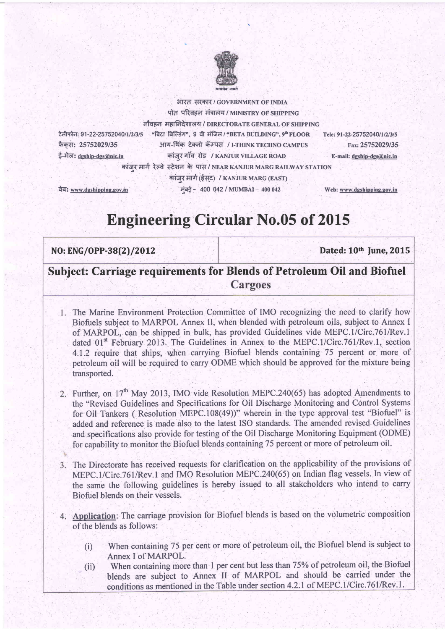

टेलीफोन: 91-22-25752040/1/2/3/5 फैकस: 25752029/35 ई-मेल: dgship-dgs@nic.in

नौवहन महानिदेशालय / DIRECTORATE GENERAL OF SHIPPING "बिटा बिल्डिंग", 9 वी मंजिल / "BETA BUILDING", 9" FLOOR आय-थिंक टेक्नो कॅम्पस / I-THINK TECHNO CAMPUS कांजर गाँव रोड / KANJUR VILLAGE ROAD कांजर मार्ग रेल्वे स्टेशन के पास/NEAR KANJUR MARG RAILWAY STATION

भारत सरकार/ GOVERNMENT OF INDIA पोत परिवहन मंत्रालय / MINISTRY OF SHIPPING

> Tele: 91-22-25752040/1/2/3/5 Fax: 25752029/35

> > E-mail: dgship-dgs@nic.in

वेब: www.dgshipping.gov.in

कांजर मार्ग (ईसट) / KANJUR MARG (EAST) मुंबई - 400 042 / MUMBAI - 400 042

Web: www.dgshipping.gov.in

## **Engineering Circular No.05 of 2015**

## NO: ENG/OPP-38(2)/2012

Dated: 10th June, 2015

## **Subject: Carriage requirements for Blends of Petroleum Oil and Biofuel** Cargoes

- 1. The Marine Environment Protection Committee of IMO recognizing the need to clarify how Biofuels subject to MARPOL Annex II, when blended with petroleum oils, subject to Annex I of MARPOL, can be shipped in bulk, has provided Guidelines vide MEPC.1/Circ.761/Rev.1 dated 01<sup>st</sup> February 2013. The Guidelines in Annex to the MEPC.1/Circ.761/Rev.1, section 4.1.2 require that ships, when carrying Biofuel blends containing 75 percent or more of petroleum oil will be required to carry ODME which should be approved for the mixture being transported.
- 2. Further, on 17<sup>th</sup> May 2013, IMO vide Resolution MEPC.240(65) has adopted Amendments to the "Revised Guidelines and Specifications for Oil Discharge Monitoring and Control Systems for Oil Tankers (Resolution MEPC.108(49))" wherein in the type approval test "Biofuel" is added and reference is made also to the latest ISO standards. The amended revised Guidelines and specifications also provide for testing of the Oil Discharge Monitoring Equipment (ODME) for capability to monitor the Biofuel blends containing 75 percent or more of petroleum oil.
- 3. The Directorate has received requests for clarification on the applicability of the provisions of MEPC.1/Circ.761/Rev.1 and IMO Resolution MEPC.240(65) on Indian flag vessels. In view of the same the following guidelines is hereby issued to all stakeholders who intend to carry Biofuel blends on their vessels.
- 4. Application: The carriage provision for Biofuel blends is based on the volumetric composition of the blends as follows:
	- When containing 75 per cent or more of petroleum oil, the Biofuel blend is subject to  $(i)$ Annex I of MARPOL.
	- When containing more than 1 per cent but less than 75% of petroleum oil, the Biofuel  $(ii)$ blends are subject to Annex II of MARPOL and should be carried under the conditions as mentioned in the Table under section 4.2.1 of MEPC.1/Circ.761/Rev.1.